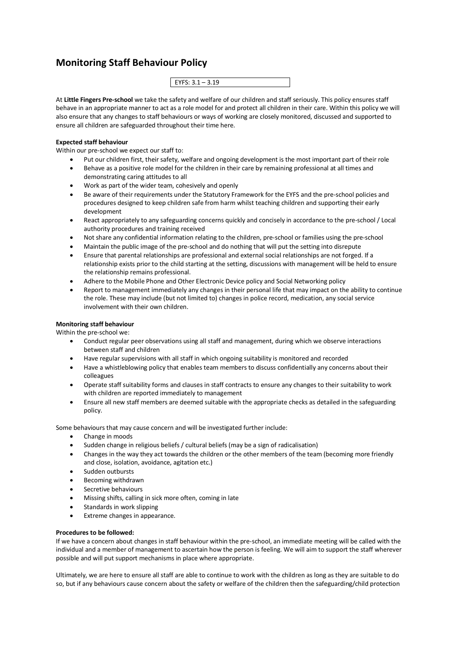## **Monitoring Staff Behaviour Policy**

| 10<br>EVEC. 2           |
|-------------------------|
| Е<br>. .<br>`<br>-<br>. |
|                         |

At **Little Fingers Pre-school** we take the safety and welfare of our children and staff seriously. This policy ensures staff behave in an appropriate manner to act as a role model for and protect all children in their care. Within this policy we will also ensure that any changes to staff behaviours or ways of working are closely monitored, discussed and supported to ensure all children are safeguarded throughout their time here.

## **Expected staff behaviour**

Within our pre-school we expect our staff to:

- Put our children first, their safety, welfare and ongoing development is the most important part of their role
- Behave as a positive role model for the children in their care by remaining professional at all times and demonstrating caring attitudes to all
- Work as part of the wider team, cohesively and openly
- Be aware of their requirements under the Statutory Framework for the EYFS and the pre-school policies and procedures designed to keep children safe from harm whilst teaching children and supporting their early development
- React appropriately to any safeguarding concerns quickly and concisely in accordance to the pre-school / Local authority procedures and training received
- Not share any confidential information relating to the children, pre-school or families using the pre-school
- Maintain the public image of the pre-school and do nothing that will put the setting into disrepute
- Ensure that parental relationships are professional and external social relationships are not forged. If a relationship exists prior to the child starting at the setting, discussions with management will be held to ensure the relationship remains professional.
- Adhere to the Mobile Phone and Other Electronic Device policy and Social Networking policy
- Report to management immediately any changes in their personal life that may impact on the ability to continue the role. These may include (but not limited to) changes in police record, medication, any social service involvement with their own children.

## **Monitoring staff behaviour**

Within the pre-school we:

- Conduct regular peer observations using all staff and management, during which we observe interactions between staff and children
- Have regular supervisions with all staff in which ongoing suitability is monitored and recorded
- Have a whistleblowing policy that enables team members to discuss confidentially any concerns about their colleagues
- Operate staff suitability forms and clauses in staff contracts to ensure any changes to their suitability to work with children are reported immediately to management
- Ensure all new staff members are deemed suitable with the appropriate checks as detailed in the safeguarding policy.

Some behaviours that may cause concern and will be investigated further include:

- Change in moods
- Sudden change in religious beliefs / cultural beliefs (may be a sign of radicalisation)
- Changes in the way they act towards the children or the other members of the team (becoming more friendly and close, isolation, avoidance, agitation etc.)
- Sudden outbursts
- Becoming withdrawn
- Secretive behaviours
- Missing shifts, calling in sick more often, coming in late
- Standards in work slipping
- Extreme changes in appearance.

## **Procedures to be followed:**

If we have a concern about changes in staff behaviour within the pre-school, an immediate meeting will be called with the individual and a member of management to ascertain how the person is feeling. We will aim to support the staff wherever possible and will put support mechanisms in place where appropriate.

Ultimately, we are here to ensure all staff are able to continue to work with the children as long as they are suitable to do so, but if any behaviours cause concern about the safety or welfare of the children then the safeguarding/child protection